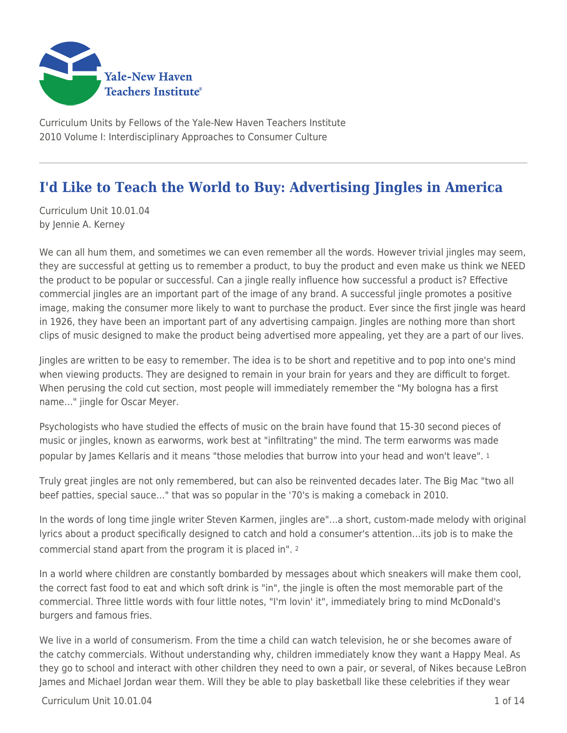

Curriculum Units by Fellows of the Yale-New Haven Teachers Institute 2010 Volume I: Interdisciplinary Approaches to Consumer Culture

# **I'd Like to Teach the World to Buy: Advertising Jingles in America**

Curriculum Unit 10.01.04 by Jennie A. Kerney

We can all hum them, and sometimes we can even remember all the words. However trivial jingles may seem, they are successful at getting us to remember a product, to buy the product and even make us think we NEED the product to be popular or successful. Can a jingle really influence how successful a product is? Effective commercial jingles are an important part of the image of any brand. A successful jingle promotes a positive image, making the consumer more likely to want to purchase the product. Ever since the first jingle was heard in 1926, they have been an important part of any advertising campaign. Jingles are nothing more than short clips of music designed to make the product being advertised more appealing, yet they are a part of our lives.

Jingles are written to be easy to remember. The idea is to be short and repetitive and to pop into one's mind when viewing products. They are designed to remain in your brain for years and they are difficult to forget. When perusing the cold cut section, most people will immediately remember the "My bologna has a first name…" jingle for Oscar Meyer.

Psychologists who have studied the effects of music on the brain have found that 15-30 second pieces of music or jingles, known as earworms, work best at "infiltrating" the mind. The term earworms was made popular by James Kellaris and it means "those melodies that burrow into your head and won't leave". <sup>1</sup>

Truly great jingles are not only remembered, but can also be reinvented decades later. The Big Mac "two all beef patties, special sauce…" that was so popular in the '70's is making a comeback in 2010.

In the words of long time jingle writer Steven Karmen, jingles are"…a short, custom-made melody with original lyrics about a product specifically designed to catch and hold a consumer's attention…its job is to make the commercial stand apart from the program it is placed in". <sup>2</sup>

In a world where children are constantly bombarded by messages about which sneakers will make them cool, the correct fast food to eat and which soft drink is "in", the jingle is often the most memorable part of the commercial. Three little words with four little notes, "I'm lovin' it", immediately bring to mind McDonald's burgers and famous fries.

We live in a world of consumerism. From the time a child can watch television, he or she becomes aware of the catchy commercials. Without understanding why, children immediately know they want a Happy Meal. As they go to school and interact with other children they need to own a pair, or several, of Nikes because LeBron James and Michael Jordan wear them. Will they be able to play basketball like these celebrities if they wear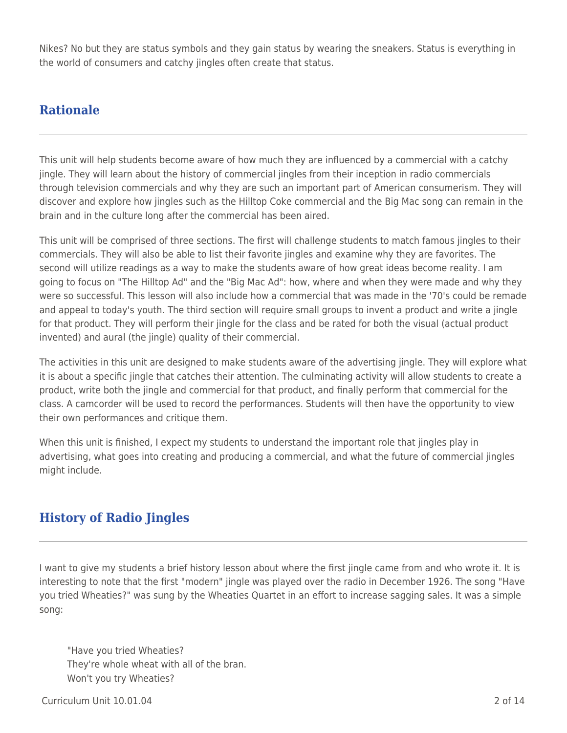Nikes? No but they are status symbols and they gain status by wearing the sneakers. Status is everything in the world of consumers and catchy jingles often create that status.

#### **Rationale**

This unit will help students become aware of how much they are influenced by a commercial with a catchy jingle. They will learn about the history of commercial jingles from their inception in radio commercials through television commercials and why they are such an important part of American consumerism. They will discover and explore how jingles such as the Hilltop Coke commercial and the Big Mac song can remain in the brain and in the culture long after the commercial has been aired.

This unit will be comprised of three sections. The first will challenge students to match famous jingles to their commercials. They will also be able to list their favorite jingles and examine why they are favorites. The second will utilize readings as a way to make the students aware of how great ideas become reality. I am going to focus on "The Hilltop Ad" and the "Big Mac Ad": how, where and when they were made and why they were so successful. This lesson will also include how a commercial that was made in the '70's could be remade and appeal to today's youth. The third section will require small groups to invent a product and write a jingle for that product. They will perform their jingle for the class and be rated for both the visual (actual product invented) and aural (the jingle) quality of their commercial.

The activities in this unit are designed to make students aware of the advertising jingle. They will explore what it is about a specific jingle that catches their attention. The culminating activity will allow students to create a product, write both the jingle and commercial for that product, and finally perform that commercial for the class. A camcorder will be used to record the performances. Students will then have the opportunity to view their own performances and critique them.

When this unit is finished, I expect my students to understand the important role that jingles play in advertising, what goes into creating and producing a commercial, and what the future of commercial jingles might include.

## **History of Radio Jingles**

I want to give my students a brief history lesson about where the first jingle came from and who wrote it. It is interesting to note that the first "modern" jingle was played over the radio in December 1926. The song "Have you tried Wheaties?" was sung by the Wheaties Quartet in an effort to increase sagging sales. It was a simple song:

"Have you tried Wheaties? They're whole wheat with all of the bran. Won't you try Wheaties?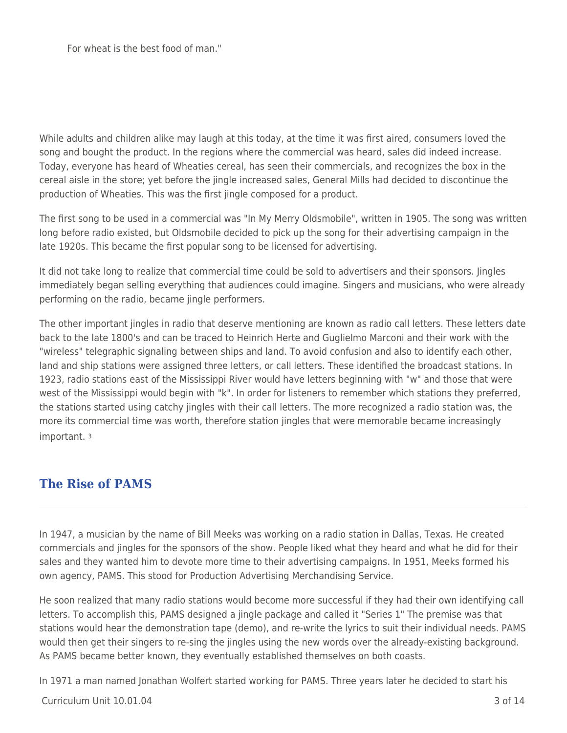For wheat is the best food of man."

While adults and children alike may laugh at this today, at the time it was first aired, consumers loved the song and bought the product. In the regions where the commercial was heard, sales did indeed increase. Today, everyone has heard of Wheaties cereal, has seen their commercials, and recognizes the box in the cereal aisle in the store; yet before the jingle increased sales, General Mills had decided to discontinue the production of Wheaties. This was the first jingle composed for a product.

The first song to be used in a commercial was "In My Merry Oldsmobile", written in 1905. The song was written long before radio existed, but Oldsmobile decided to pick up the song for their advertising campaign in the late 1920s. This became the first popular song to be licensed for advertising.

It did not take long to realize that commercial time could be sold to advertisers and their sponsors. Jingles immediately began selling everything that audiences could imagine. Singers and musicians, who were already performing on the radio, became jingle performers.

The other important jingles in radio that deserve mentioning are known as radio call letters. These letters date back to the late 1800's and can be traced to Heinrich Herte and Guglielmo Marconi and their work with the "wireless" telegraphic signaling between ships and land. To avoid confusion and also to identify each other, land and ship stations were assigned three letters, or call letters. These identified the broadcast stations. In 1923, radio stations east of the Mississippi River would have letters beginning with "w" and those that were west of the Mississippi would begin with "k". In order for listeners to remember which stations they preferred, the stations started using catchy jingles with their call letters. The more recognized a radio station was, the more its commercial time was worth, therefore station jingles that were memorable became increasingly important. <sup>3</sup>

#### **The Rise of PAMS**

In 1947, a musician by the name of Bill Meeks was working on a radio station in Dallas, Texas. He created commercials and jingles for the sponsors of the show. People liked what they heard and what he did for their sales and they wanted him to devote more time to their advertising campaigns. In 1951, Meeks formed his own agency, PAMS. This stood for Production Advertising Merchandising Service.

He soon realized that many radio stations would become more successful if they had their own identifying call letters. To accomplish this, PAMS designed a jingle package and called it "Series 1" The premise was that stations would hear the demonstration tape (demo), and re-write the lyrics to suit their individual needs. PAMS would then get their singers to re-sing the jingles using the new words over the already-existing background. As PAMS became better known, they eventually established themselves on both coasts.

In 1971 a man named Jonathan Wolfert started working for PAMS. Three years later he decided to start his

 $C$ urriculum Unit  $10.01.04$  3 of  $14$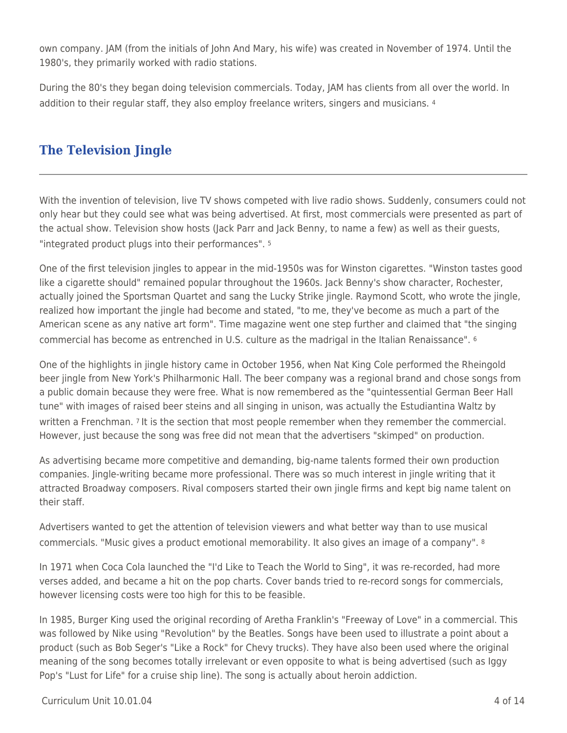own company. JAM (from the initials of John And Mary, his wife) was created in November of 1974. Until the 1980's, they primarily worked with radio stations.

During the 80's they began doing television commercials. Today, JAM has clients from all over the world. In addition to their regular staff, they also employ freelance writers, singers and musicians. <sup>4</sup>

### **The Television Jingle**

With the invention of television, live TV shows competed with live radio shows. Suddenly, consumers could not only hear but they could see what was being advertised. At first, most commercials were presented as part of the actual show. Television show hosts (Jack Parr and Jack Benny, to name a few) as well as their guests, "integrated product plugs into their performances". <sup>5</sup>

One of the first television jingles to appear in the mid-1950s was for Winston cigarettes. "Winston tastes good like a cigarette should" remained popular throughout the 1960s. Jack Benny's show character, Rochester, actually joined the Sportsman Quartet and sang the Lucky Strike jingle. Raymond Scott, who wrote the jingle, realized how important the jingle had become and stated, "to me, they've become as much a part of the American scene as any native art form". Time magazine went one step further and claimed that "the singing commercial has become as entrenched in U.S. culture as the madrigal in the Italian Renaissance". <sup>6</sup>

One of the highlights in jingle history came in October 1956, when Nat King Cole performed the Rheingold beer jingle from New York's Philharmonic Hall. The beer company was a regional brand and chose songs from a public domain because they were free. What is now remembered as the "quintessential German Beer Hall tune" with images of raised beer steins and all singing in unison, was actually the Estudiantina Waltz by written a Frenchman. 7 It is the section that most people remember when they remember the commercial. However, just because the song was free did not mean that the advertisers "skimped" on production.

As advertising became more competitive and demanding, big-name talents formed their own production companies. Jingle-writing became more professional. There was so much interest in jingle writing that it attracted Broadway composers. Rival composers started their own jingle firms and kept big name talent on their staff.

Advertisers wanted to get the attention of television viewers and what better way than to use musical commercials. "Music gives a product emotional memorability. It also gives an image of a company". <sup>8</sup>

In 1971 when Coca Cola launched the "I'd Like to Teach the World to Sing", it was re-recorded, had more verses added, and became a hit on the pop charts. Cover bands tried to re-record songs for commercials, however licensing costs were too high for this to be feasible.

In 1985, Burger King used the original recording of Aretha Franklin's "Freeway of Love" in a commercial. This was followed by Nike using "Revolution" by the Beatles. Songs have been used to illustrate a point about a product (such as Bob Seger's "Like a Rock" for Chevy trucks). They have also been used where the original meaning of the song becomes totally irrelevant or even opposite to what is being advertised (such as Iggy Pop's "Lust for Life" for a cruise ship line). The song is actually about heroin addiction.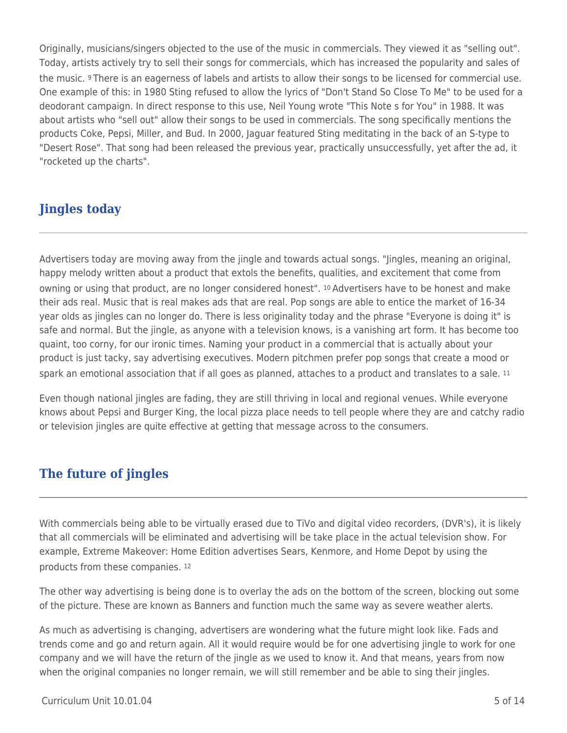Originally, musicians/singers objected to the use of the music in commercials. They viewed it as "selling out". Today, artists actively try to sell their songs for commercials, which has increased the popularity and sales of the music. 9 There is an eagerness of labels and artists to allow their songs to be licensed for commercial use. One example of this: in 1980 Sting refused to allow the lyrics of "Don't Stand So Close To Me" to be used for a deodorant campaign. In direct response to this use, Neil Young wrote "This Note s for You" in 1988. It was about artists who "sell out" allow their songs to be used in commercials. The song specifically mentions the products Coke, Pepsi, Miller, and Bud. In 2000, Jaguar featured Sting meditating in the back of an S-type to "Desert Rose". That song had been released the previous year, practically unsuccessfully, yet after the ad, it "rocketed up the charts".

## **Jingles today**

Advertisers today are moving away from the jingle and towards actual songs. "Jingles, meaning an original, happy melody written about a product that extols the benefits, qualities, and excitement that come from owning or using that product, are no longer considered honest". 10 Advertisers have to be honest and make their ads real. Music that is real makes ads that are real. Pop songs are able to entice the market of 16-34 year olds as jingles can no longer do. There is less originality today and the phrase "Everyone is doing it" is safe and normal. But the jingle, as anyone with a television knows, is a vanishing art form. It has become too quaint, too corny, for our ironic times. Naming your product in a commercial that is actually about your product is just tacky, say advertising executives. Modern pitchmen prefer pop songs that create a mood or spark an emotional association that if all goes as planned, attaches to a product and translates to a sale. 11

Even though national jingles are fading, they are still thriving in local and regional venues. While everyone knows about Pepsi and Burger King, the local pizza place needs to tell people where they are and catchy radio or television jingles are quite effective at getting that message across to the consumers.

### **The future of jingles**

With commercials being able to be virtually erased due to TiVo and digital video recorders, (DVR's), it is likely that all commercials will be eliminated and advertising will be take place in the actual television show. For example, Extreme Makeover: Home Edition advertises Sears, Kenmore, and Home Depot by using the products from these companies. <sup>12</sup>

The other way advertising is being done is to overlay the ads on the bottom of the screen, blocking out some of the picture. These are known as Banners and function much the same way as severe weather alerts.

As much as advertising is changing, advertisers are wondering what the future might look like. Fads and trends come and go and return again. All it would require would be for one advertising jingle to work for one company and we will have the return of the jingle as we used to know it. And that means, years from now when the original companies no longer remain, we will still remember and be able to sing their jingles.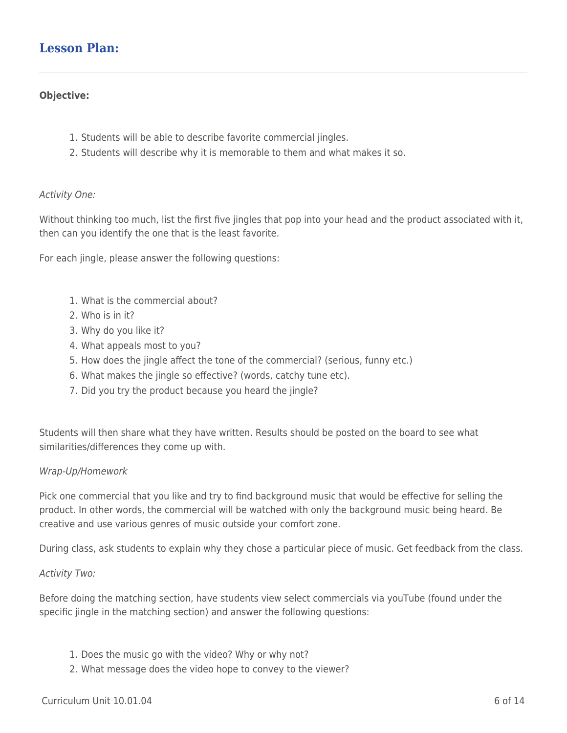#### **Lesson Plan:**

#### **Objective:**

- 1. Students will be able to describe favorite commercial jingles.
- 2. Students will describe why it is memorable to them and what makes it so.

#### Activity One:

Without thinking too much, list the first five jingles that pop into your head and the product associated with it, then can you identify the one that is the least favorite.

For each jingle, please answer the following questions:

- 1. What is the commercial about?
- 2. Who is in it?
- 3. Why do you like it?
- 4. What appeals most to you?
- 5. How does the jingle affect the tone of the commercial? (serious, funny etc.)
- 6. What makes the jingle so effective? (words, catchy tune etc).
- 7. Did you try the product because you heard the jingle?

Students will then share what they have written. Results should be posted on the board to see what similarities/differences they come up with.

#### Wrap-Up/Homework

Pick one commercial that you like and try to find background music that would be effective for selling the product. In other words, the commercial will be watched with only the background music being heard. Be creative and use various genres of music outside your comfort zone.

During class, ask students to explain why they chose a particular piece of music. Get feedback from the class.

#### Activity Two:

Before doing the matching section, have students view select commercials via youTube (found under the specific jingle in the matching section) and answer the following questions:

- 1. Does the music go with the video? Why or why not?
- 2. What message does the video hope to convey to the viewer?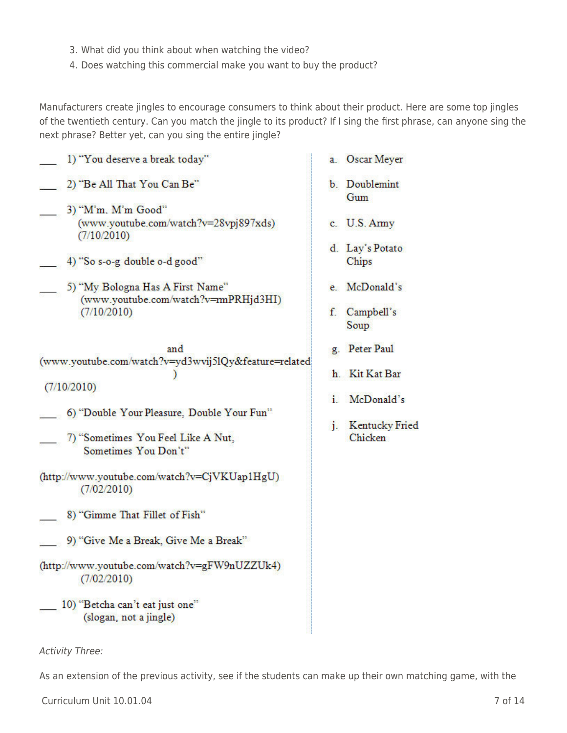- 3. What did you think about when watching the video?
- 4. Does watching this commercial make you want to buy the product?

Manufacturers create jingles to encourage consumers to think about their product. Here are some top jingles of the twentieth century. Can you match the jingle to its product? If I sing the first phrase, can anyone sing the next phrase? Better yet, can you sing the entire jingle?

As an extension of the previous activity, see if the students can make up their own matching game, with the

| 1) "You deserve a break today"                                                                                                                                                                        | а.                   |
|-------------------------------------------------------------------------------------------------------------------------------------------------------------------------------------------------------|----------------------|
| 2) "Be All That You Can Be"                                                                                                                                                                           | b.                   |
| 3) "M'm, M'm Good"<br>(www.youtube.com/watch?v=28vpj897xds)<br>(7/10/2010)<br>4) "So s-o-g double o-d good"<br>5) "My Bologna Has A First Name"<br>(www.youtube.com/watch?v=mPRHjd3HI)<br>(7/10/2010) | c.<br>d.<br>e.<br>f. |
| and<br>(www.youtube.com/watch?v=yd3wvij5lQy&feature=related<br>(7/10/2010)                                                                                                                            | g.<br>h.             |
| 6) "Double Your Pleasure, Double Your Fun"                                                                                                                                                            | i.                   |
| 7) "Sometimes You Feel Like A Nut,<br>Sometimes You Don't"                                                                                                                                            | j.                   |
| (http://www.youtube.com/watch?v=CjVKUap1HgU)<br>(7/02/2010)                                                                                                                                           |                      |
| 8) "Gimme That Fillet of Fish"                                                                                                                                                                        |                      |
| 9) "Give Me a Break, Give Me a Break"                                                                                                                                                                 |                      |
| (http://www.youtube.com/watch?v=gFW9nUZZUk4)<br>(7/02/2010)                                                                                                                                           |                      |
| 10) "Betcha can't eat just one"<br>(slogan, not a jingle)                                                                                                                                             |                      |
| <b>Activity Three:</b>                                                                                                                                                                                |                      |

- Oscar Meyer
- Doublemint Gum
- U.S. Army
- Lay's Potato Chips
- McDonald's
- Campbell's Soup
- Peter Paul
- Kit Kat Bar
- McDonald's
- **Kentucky Fried** Chicken

Curriculum Unit 10.01.04 7 of 14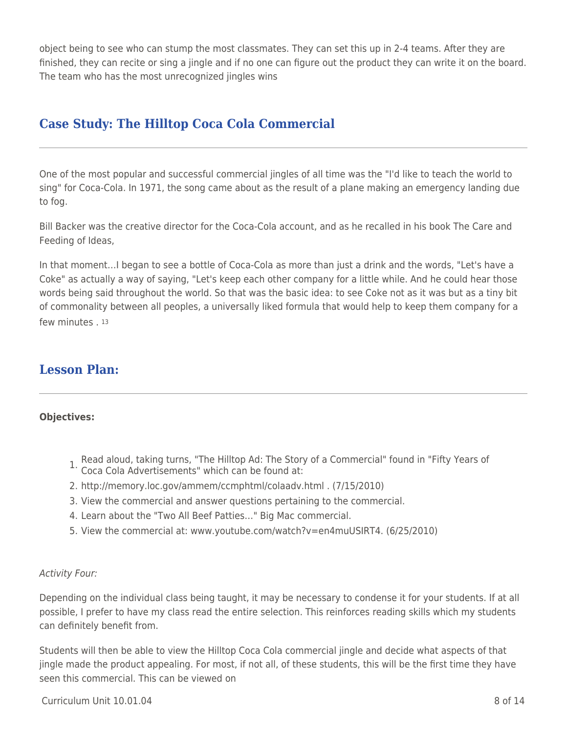object being to see who can stump the most classmates. They can set this up in 2-4 teams. After they are finished, they can recite or sing a jingle and if no one can figure out the product they can write it on the board. The team who has the most unrecognized jingles wins

### **Case Study: The Hilltop Coca Cola Commercial**

One of the most popular and successful commercial jingles of all time was the "I'd like to teach the world to sing" for Coca-Cola. In 1971, the song came about as the result of a plane making an emergency landing due to fog.

Bill Backer was the creative director for the Coca-Cola account, and as he recalled in his book The Care and Feeding of Ideas,

In that moment…I began to see a bottle of Coca-Cola as more than just a drink and the words, "Let's have a Coke" as actually a way of saying, "Let's keep each other company for a little while. And he could hear those words being said throughout the world. So that was the basic idea: to see Coke not as it was but as a tiny bit of commonality between all peoples, a universally liked formula that would help to keep them company for a few minutes . 13

### **Lesson Plan:**

#### **Objectives:**

- 1. Read aloud, taking turns, "The Hilltop Ad: The Story of a Commercial" found in "Fifty Years of Coca Cola Advertisements" which can be found at:
- 2. http://memory.loc.gov/ammem/ccmphtml/colaadv.html . (7/15/2010)
- 3. View the commercial and answer questions pertaining to the commercial.
- 4. Learn about the "Two All Beef Patties…" Big Mac commercial.
- 5. View the commercial at: www.youtube.com/watch?v=en4muUSIRT4. (6/25/2010)

#### Activity Four:

Depending on the individual class being taught, it may be necessary to condense it for your students. If at all possible, I prefer to have my class read the entire selection. This reinforces reading skills which my students can definitely benefit from.

Students will then be able to view the Hilltop Coca Cola commercial jingle and decide what aspects of that jingle made the product appealing. For most, if not all, of these students, this will be the first time they have seen this commercial. This can be viewed on

 $C$ urriculum Unit  $10.01.04$  8 of  $14$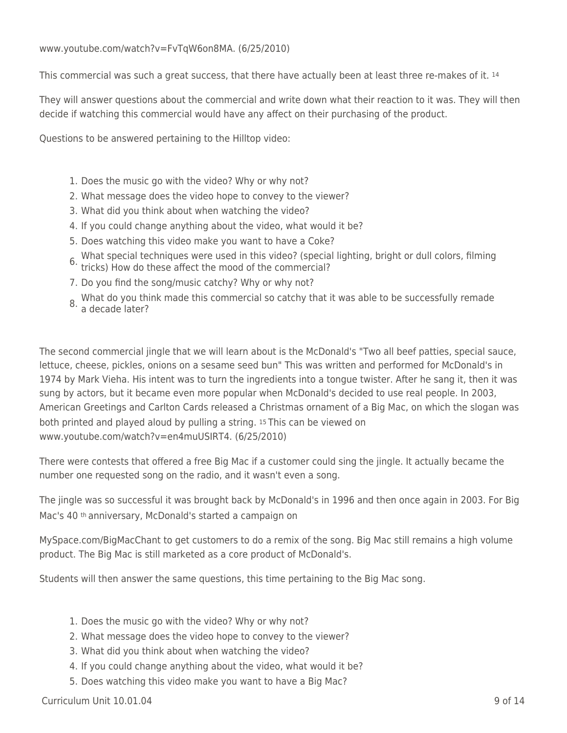www.youtube.com/watch?v=FvTqW6on8MA. (6/25/2010)

This commercial was such a great success, that there have actually been at least three re-makes of it. 14

They will answer questions about the commercial and write down what their reaction to it was. They will then decide if watching this commercial would have any affect on their purchasing of the product.

Questions to be answered pertaining to the Hilltop video:

- 1. Does the music go with the video? Why or why not?
- 2. What message does the video hope to convey to the viewer?
- 3. What did you think about when watching the video?
- 4. If you could change anything about the video, what would it be?
- 5. Does watching this video make you want to have a Coke?
- 6. What special techniques were used in this video? (special lighting, bright or dull colors, filming tricks) How do these affect the mood of the commercial?
- 7. Do you find the song/music catchy? Why or why not?
- 8. What do you think made this commercial so catchy that it was able to be successfully remade a decade later?

The second commercial jingle that we will learn about is the McDonald's "Two all beef patties, special sauce, lettuce, cheese, pickles, onions on a sesame seed bun" This was written and performed for McDonald's in 1974 by Mark Vieha. His intent was to turn the ingredients into a tongue twister. After he sang it, then it was sung by actors, but it became even more popular when McDonald's decided to use real people. In 2003, American Greetings and Carlton Cards released a Christmas ornament of a Big Mac, on which the slogan was both printed and played aloud by pulling a string. 15 This can be viewed on www.youtube.com/watch?v=en4muUSIRT4. (6/25/2010)

There were contests that offered a free Big Mac if a customer could sing the jingle. It actually became the number one requested song on the radio, and it wasn't even a song.

The jingle was so successful it was brought back by McDonald's in 1996 and then once again in 2003. For Big Mac's 40 th anniversary, McDonald's started a campaign on

MySpace.com/BigMacChant to get customers to do a remix of the song. Big Mac still remains a high volume product. The Big Mac is still marketed as a core product of McDonald's.

Students will then answer the same questions, this time pertaining to the Big Mac song.

- 1. Does the music go with the video? Why or why not?
- 2. What message does the video hope to convey to the viewer?
- 3. What did you think about when watching the video?
- 4. If you could change anything about the video, what would it be?
- 5. Does watching this video make you want to have a Big Mac?

 $C$ urriculum Unit  $10.01.04$  9 of  $14$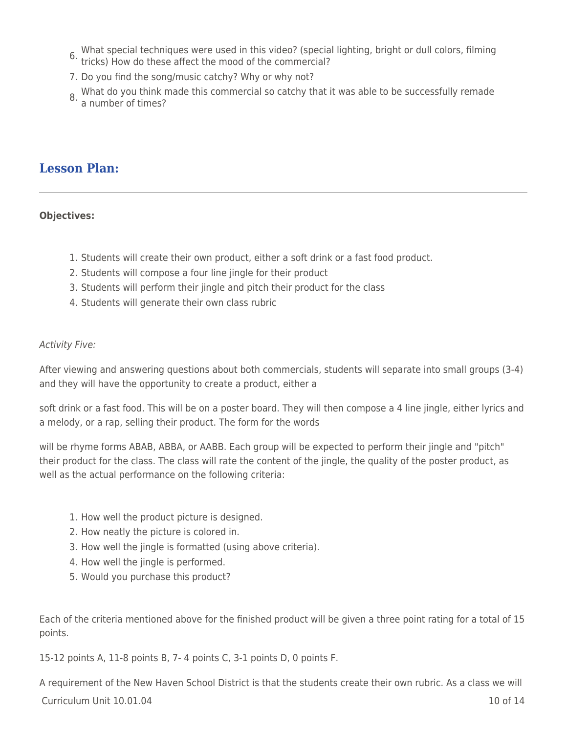- 6. What special techniques were used in this video? (special lighting, bright or dull colors, filming tricks) How do these affect the mood of the commercial?
- 7. Do you find the song/music catchy? Why or why not?
- 8. What do you think made this commercial so catchy that it was able to be successfully remade<br>8. a number of times?

### **Lesson Plan:**

#### **Objectives:**

- 1. Students will create their own product, either a soft drink or a fast food product.
- 2. Students will compose a four line jingle for their product
- 3. Students will perform their jingle and pitch their product for the class
- 4. Students will generate their own class rubric

#### Activity Five:

After viewing and answering questions about both commercials, students will separate into small groups (3-4) and they will have the opportunity to create a product, either a

soft drink or a fast food. This will be on a poster board. They will then compose a 4 line jingle, either lyrics and a melody, or a rap, selling their product. The form for the words

will be rhyme forms ABAB, ABBA, or AABB. Each group will be expected to perform their jingle and "pitch" their product for the class. The class will rate the content of the jingle, the quality of the poster product, as well as the actual performance on the following criteria:

- 1. How well the product picture is designed.
- 2. How neatly the picture is colored in.
- 3. How well the jingle is formatted (using above criteria).
- 4. How well the jingle is performed.
- 5. Would you purchase this product?

Each of the criteria mentioned above for the finished product will be given a three point rating for a total of 15 points.

15-12 points A, 11-8 points B, 7- 4 points C, 3-1 points D, 0 points F.

 $C$ urriculum Unit  $10.01.04$  10 of  $14$ A requirement of the New Haven School District is that the students create their own rubric. As a class we will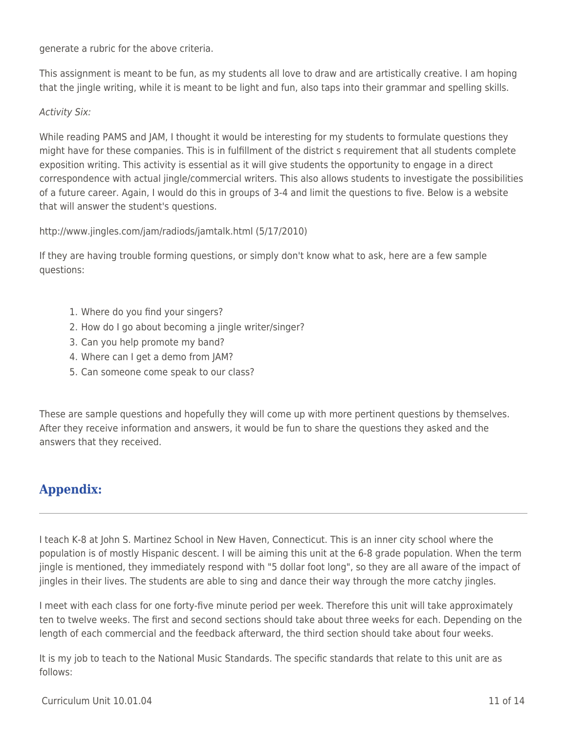generate a rubric for the above criteria.

This assignment is meant to be fun, as my students all love to draw and are artistically creative. I am hoping that the jingle writing, while it is meant to be light and fun, also taps into their grammar and spelling skills.

#### Activity Six:

While reading PAMS and JAM, I thought it would be interesting for my students to formulate questions they might have for these companies. This is in fulfillment of the district s requirement that all students complete exposition writing. This activity is essential as it will give students the opportunity to engage in a direct correspondence with actual jingle/commercial writers. This also allows students to investigate the possibilities of a future career. Again, I would do this in groups of 3-4 and limit the questions to five. Below is a website that will answer the student's questions.

http://www.jingles.com/jam/radiods/jamtalk.html (5/17/2010)

If they are having trouble forming questions, or simply don't know what to ask, here are a few sample questions:

- 1. Where do you find your singers?
- 2. How do I go about becoming a jingle writer/singer?
- 3. Can you help promote my band?
- 4. Where can I get a demo from JAM?
- 5. Can someone come speak to our class?

These are sample questions and hopefully they will come up with more pertinent questions by themselves. After they receive information and answers, it would be fun to share the questions they asked and the answers that they received.

## **Appendix:**

I teach K-8 at John S. Martinez School in New Haven, Connecticut. This is an inner city school where the population is of mostly Hispanic descent. I will be aiming this unit at the 6-8 grade population. When the term jingle is mentioned, they immediately respond with "5 dollar foot long", so they are all aware of the impact of jingles in their lives. The students are able to sing and dance their way through the more catchy jingles.

I meet with each class for one forty-five minute period per week. Therefore this unit will take approximately ten to twelve weeks. The first and second sections should take about three weeks for each. Depending on the length of each commercial and the feedback afterward, the third section should take about four weeks.

It is my job to teach to the National Music Standards. The specific standards that relate to this unit are as follows: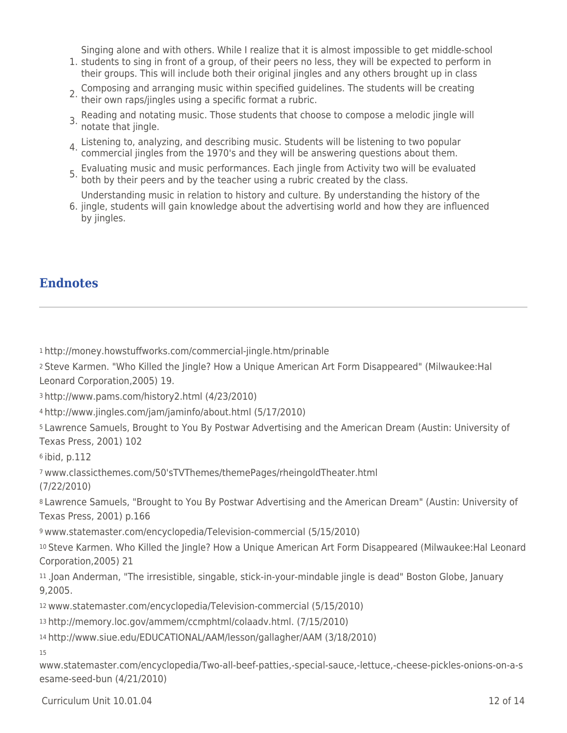Singing alone and with others. While I realize that it is almost impossible to get middle-school

- 1. students to sing in front of a group, of their peers no less, they will be expected to perform in their groups. This will include both their original jingles and any others brought up in class
- 2. Composing and arranging music within specified guidelines. The students will be creating their own raps/jingles using a specific format a rubric.
- 3. Reading and notating music. Those students that choose to compose a melodic jingle will notate that jingle.
- 4. Listening to, analyzing, and describing music. Students will be listening to two popular commercial jingles from the 1970's and they will be answering questions about them.
- 5. Evaluating music and music performances. Each jingle from Activity two will be evaluated both by their peers and by the teacher using a rubric created by the class.

Understanding music in relation to history and culture. By understanding the history of the

6. jingle, students will gain knowledge about the advertising world and how they are influenced by jingles.

### **Endnotes**

<sup>1</sup>http://money.howstuffworks.com/commercial-jingle.htm/prinable

<sup>2</sup>Steve Karmen. "Who Killed the Jingle? How a Unique American Art Form Disappeared" (Milwaukee:Hal Leonard Corporation,2005) 19.

<sup>3</sup>http://www.pams.com/history2.html (4/23/2010)

<sup>4</sup>http://www.jingles.com/jam/jaminfo/about.html (5/17/2010)

<sup>5</sup>Lawrence Samuels, Brought to You By Postwar Advertising and the American Dream (Austin: University of Texas Press, 2001) 102

<sup>6</sup>ibid, p.112

<sup>7</sup>www.classicthemes.com/50'sTVThemes/themePages/rheingoldTheater.html

(7/22/2010)

<sup>8</sup>Lawrence Samuels, "Brought to You By Postwar Advertising and the American Dream" (Austin: University of Texas Press, 2001) p.166

<sup>9</sup>www.statemaster.com/encyclopedia/Television-commercial (5/15/2010)

<sup>10</sup>Steve Karmen. Who Killed the Jingle? How a Unique American Art Form Disappeared (Milwaukee:Hal Leonard Corporation,2005) 21

<sup>11</sup>.Joan Anderman, "The irresistible, singable, stick-in-your-mindable jingle is dead" Boston Globe, January 9,2005.

<sup>12</sup>www.statemaster.com/encyclopedia/Television-commercial (5/15/2010)

<sup>13</sup>http://memory.loc.gov/ammem/ccmphtml/colaadv.html. (7/15/2010)

<sup>14</sup>http://www.siue.edu/EDUCATIONAL/AAM/lesson/gallagher/AAM (3/18/2010)

15

www.statemaster.com/encyclopedia/Two-all-beef-patties,-special-sauce,-lettuce,-cheese-pickles-onions-on-a-s esame-seed-bun (4/21/2010)

 $C$ urriculum Unit  $10.01.04$  12 of 14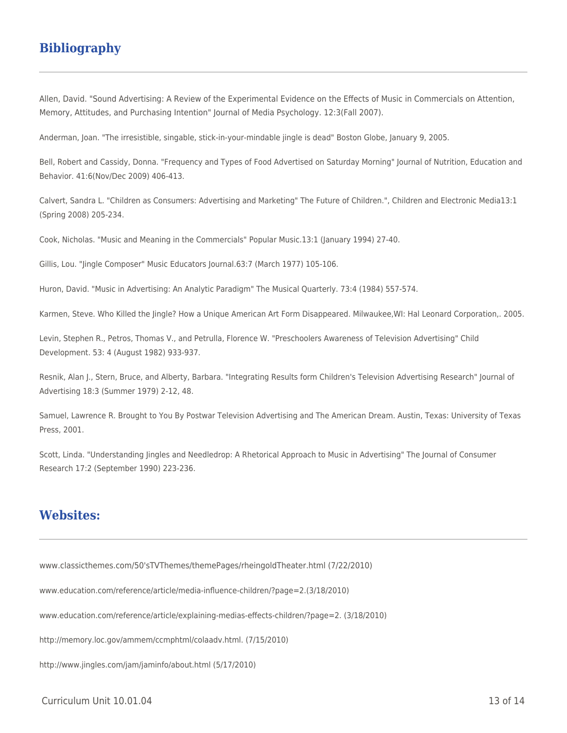### **Bibliography**

Allen, David. "Sound Advertising: A Review of the Experimental Evidence on the Effects of Music in Commercials on Attention, Memory, Attitudes, and Purchasing Intention" Journal of Media Psychology. 12:3(Fall 2007).

Anderman, Joan. "The irresistible, singable, stick-in-your-mindable jingle is dead" Boston Globe, January 9, 2005.

Bell, Robert and Cassidy, Donna. "Frequency and Types of Food Advertised on Saturday Morning" Journal of Nutrition, Education and Behavior. 41:6(Nov/Dec 2009) 406-413.

Calvert, Sandra L. "Children as Consumers: Advertising and Marketing" The Future of Children.", Children and Electronic Media13:1 (Spring 2008) 205-234.

Cook, Nicholas. "Music and Meaning in the Commercials" Popular Music.13:1 (January 1994) 27-40.

Gillis, Lou. "Jingle Composer" Music Educators Journal.63:7 (March 1977) 105-106.

Huron, David. "Music in Advertising: An Analytic Paradigm" The Musical Quarterly. 73:4 (1984) 557-574.

Karmen, Steve. Who Killed the Jingle? How a Unique American Art Form Disappeared. Milwaukee,WI: Hal Leonard Corporation,. 2005.

Levin, Stephen R., Petros, Thomas V., and Petrulla, Florence W. "Preschoolers Awareness of Television Advertising" Child Development. 53: 4 (August 1982) 933-937.

Resnik, Alan J., Stern, Bruce, and Alberty, Barbara. "Integrating Results form Children's Television Advertising Research" Journal of Advertising 18:3 (Summer 1979) 2-12, 48.

Samuel, Lawrence R. Brought to You By Postwar Television Advertising and The American Dream. Austin, Texas: University of Texas Press, 2001.

Scott, Linda. "Understanding Jingles and Needledrop: A Rhetorical Approach to Music in Advertising" The Journal of Consumer Research 17:2 (September 1990) 223-236.

#### **Websites:**

www.classicthemes.com/50'sTVThemes/themePages/rheingoldTheater.html (7/22/2010)

www.education.com/reference/article/media-influence-children/?page=2.(3/18/2010)

www.education.com/reference/article/explaining-medias-effects-children/?page=2. (3/18/2010)

http://memory.loc.gov/ammem/ccmphtml/colaadv.html. (7/15/2010)

http://www.jingles.com/jam/jaminfo/about.html (5/17/2010)